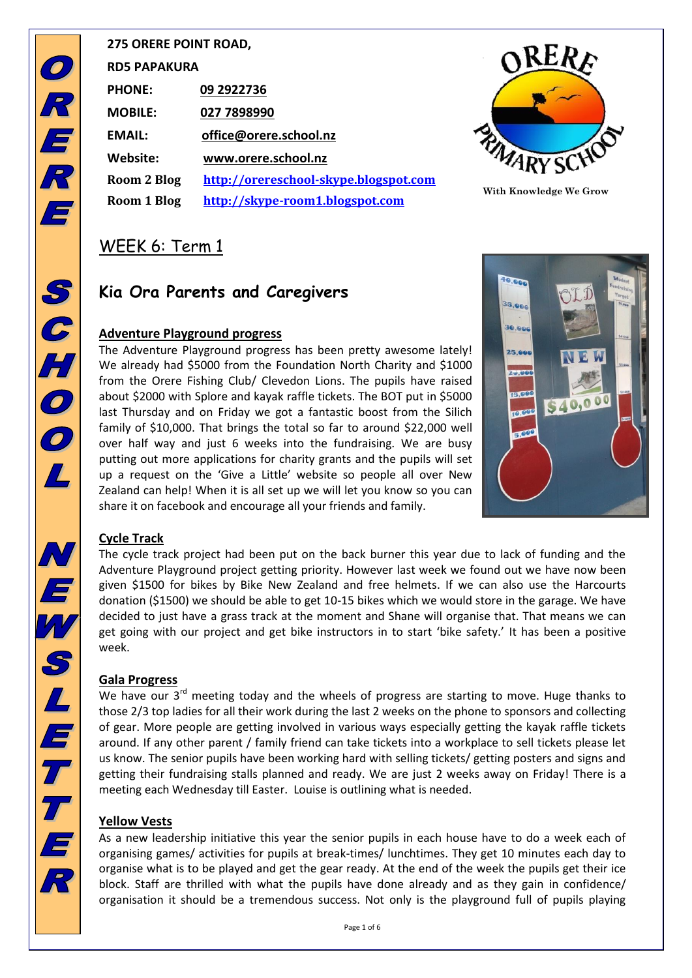| <b>275 ORERE POINT ROAD,</b> |                                       |  |  |  |  |  |
|------------------------------|---------------------------------------|--|--|--|--|--|
| <b>RD5 PAPAKURA</b>          |                                       |  |  |  |  |  |
| <b>PHONE:</b>                | 09 2922736                            |  |  |  |  |  |
| <b>MOBILE:</b>               | 027 7898990                           |  |  |  |  |  |
| <b>FMAIL:</b>                | office@orere.school.nz                |  |  |  |  |  |
| Website:                     | www.orere.school.nz                   |  |  |  |  |  |
| Room 2 Blog                  | http://orereschool-skype.blogspot.com |  |  |  |  |  |
| Room 1 Blog                  | http://skype-room1.blogspot.com       |  |  |  |  |  |
|                              |                                       |  |  |  |  |  |



**With Knowledge We Grow**

### WEEK 6: Term 1

### **Kia Ora Parents and Caregivers**

### **Adventure Playground progress**

The Adventure Playground progress has been pretty awesome lately! We already had \$5000 from the Foundation North Charity and \$1000 from the Orere Fishing Club/ Clevedon Lions. The pupils have raised about \$2000 with Splore and kayak raffle tickets. The BOT put in \$5000 last Thursday and on Friday we got a fantastic boost from the Silich family of \$10,000. That brings the total so far to around \$22,000 well over half way and just 6 weeks into the fundraising. We are busy putting out more applications for charity grants and the pupils will set up a request on the 'Give a Little' website so people all over New Zealand can help! When it is all set up we will let you know so you can share it on facebook and encourage all your friends and family.



### **Cycle Track**

The cycle track project had been put on the back burner this year due to lack of funding and the Adventure Playground project getting priority. However last week we found out we have now been given \$1500 for bikes by Bike New Zealand and free helmets. If we can also use the Harcourts donation (\$1500) we should be able to get 10-15 bikes which we would store in the garage. We have decided to just have a grass track at the moment and Shane will organise that. That means we can get going with our project and get bike instructors in to start 'bike safety.' It has been a positive week.

### **Gala Progress**

We have our  $3^{rd}$  meeting today and the wheels of progress are starting to move. Huge thanks to those 2/3 top ladies for all their work during the last 2 weeks on the phone to sponsors and collecting of gear. More people are getting involved in various ways especially getting the kayak raffle tickets around. If any other parent / family friend can take tickets into a workplace to sell tickets please let us know. The senior pupils have been working hard with selling tickets/ getting posters and signs and getting their fundraising stalls planned and ready. We are just 2 weeks away on Friday! There is a meeting each Wednesday till Easter. Louise is outlining what is needed.

### **Yellow Vests**

As a new leadership initiative this year the senior pupils in each house have to do a week each of organising games/ activities for pupils at break-times/ lunchtimes. They get 10 minutes each day to organise what is to be played and get the gear ready. At the end of the week the pupils get their ice block. Staff are thrilled with what the pupils have done already and as they gain in confidence/ organisation it should be a tremendous success. Not only is the playground full of pupils playing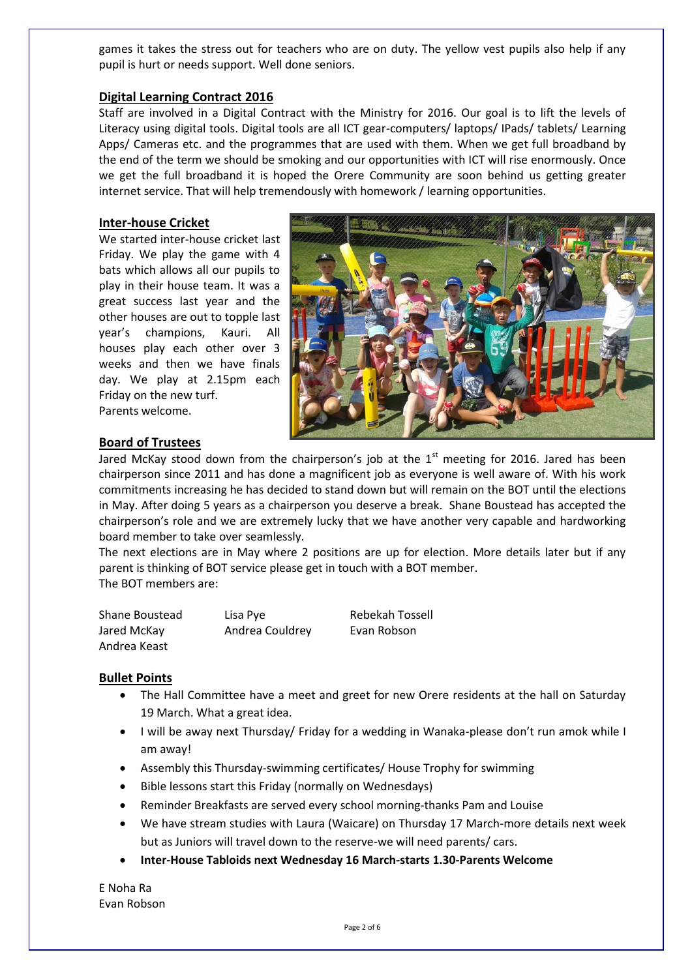games it takes the stress out for teachers who are on duty. The yellow vest pupils also help if any pupil is hurt or needs support. Well done seniors.

#### **Digital Learning Contract 2016**

Staff are involved in a Digital Contract with the Ministry for 2016. Our goal is to lift the levels of Literacy using digital tools. Digital tools are all ICT gear-computers/ laptops/ IPads/ tablets/ Learning Apps/ Cameras etc. and the programmes that are used with them. When we get full broadband by the end of the term we should be smoking and our opportunities with ICT will rise enormously. Once we get the full broadband it is hoped the Orere Community are soon behind us getting greater internet service. That will help tremendously with homework / learning opportunities.

#### **Inter-house Cricket**

We started inter-house cricket last Friday. We play the game with 4 bats which allows all our pupils to play in their house team. It was a great success last year and the other houses are out to topple last year's champions, Kauri. All houses play each other over 3 weeks and then we have finals day. We play at 2.15pm each Friday on the new turf. Parents welcome.



### **Board of Trustees**

Jared McKay stood down from the chairperson's job at the  $1<sup>st</sup>$  meeting for 2016. Jared has been chairperson since 2011 and has done a magnificent job as everyone is well aware of. With his work commitments increasing he has decided to stand down but will remain on the BOT until the elections in May. After doing 5 years as a chairperson you deserve a break. Shane Boustead has accepted the chairperson's role and we are extremely lucky that we have another very capable and hardworking board member to take over seamlessly.

The next elections are in May where 2 positions are up for election. More details later but if any parent is thinking of BOT service please get in touch with a BOT member. The BOT members are:

| Shane Boustead | Lisa Pye        | Rebekah Tossell |
|----------------|-----------------|-----------------|
| Jared McKay    | Andrea Couldrey | Evan Robson     |
| Andrea Keast   |                 |                 |

#### **Bullet Points**

- The Hall Committee have a meet and greet for new Orere residents at the hall on Saturday 19 March. What a great idea.
- I will be away next Thursday/ Friday for a wedding in Wanaka-please don't run amok while I am away!
- Assembly this Thursday-swimming certificates/ House Trophy for swimming
- Bible lessons start this Friday (normally on Wednesdays)
- Reminder Breakfasts are served every school morning-thanks Pam and Louise
- We have stream studies with Laura (Waicare) on Thursday 17 March-more details next week but as Juniors will travel down to the reserve-we will need parents/ cars.
- **Inter-House Tabloids next Wednesday 16 March-starts 1.30-Parents Welcome**

E Noha Ra Evan Robson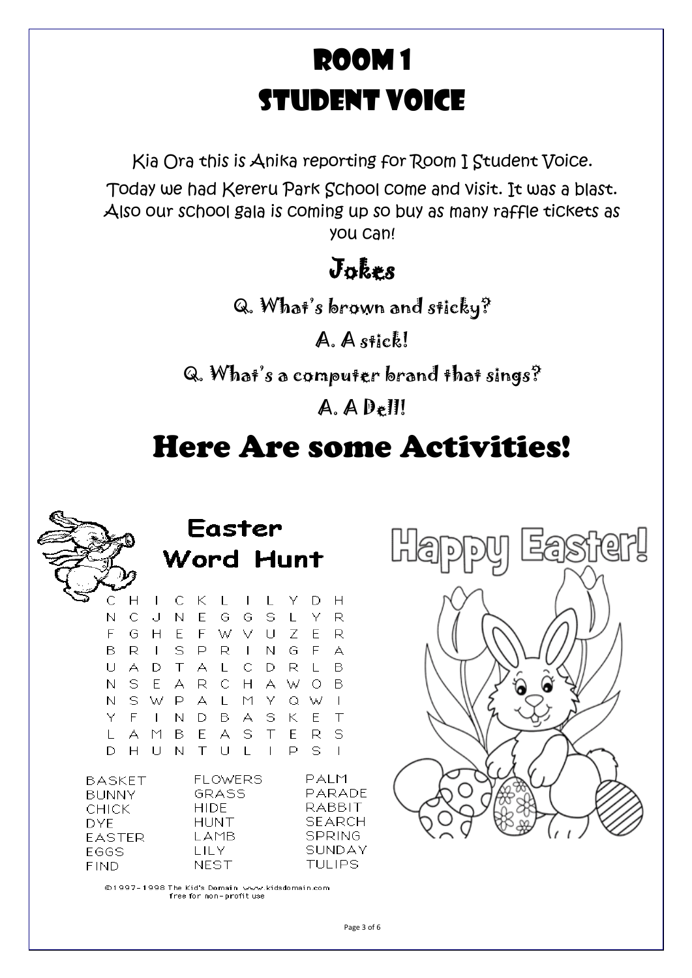# Room 1 Student Voice

Kia Ora this is Anika reporting for Room I Student Voice. Today we had Kereru Park School come and visit. It was a blast. Also our school gala is coming up so buy as many raffle tickets as you can!

### Jokes

Q. What's brown and sticky?

A. A stick!

Q. What's a computer brand that sings?

A. A Dell!

# Here Are some Activities!



Easter Vord Hunt

|              |     | C H I C K L I L Y D H |  |               |  |    |     |        |
|--------------|-----|-----------------------|--|---------------|--|----|-----|--------|
| N.           | С   | . ل -                 |  | N E G G S L   |  |    | Y R |        |
| F.           |     | G H                   |  | EFWVUZE       |  |    |     | - R    |
| B.           |     | R I S P R I N G F     |  |               |  |    |     | - A    |
|              | UA  | D.                    |  | T A L C D R L |  |    |     | в      |
|              |     | N S E A R C H A W O B |  |               |  |    |     |        |
| N.           |     | SWPALMYQWI            |  |               |  |    |     |        |
| Y F          |     | $\mathbf{L}$          |  | N D B A S K   |  |    | E   | $\top$ |
| $\mathbf{I}$ |     | A M B E A S T E       |  |               |  |    | R S |        |
|              | DH. |                       |  | UNTULI        |  | P. | - S |        |

**BASKET BUNNY CHICK DYE EASTER** EGGS **FIND** 

**FLOWERS** PALM **GRASS** PARADE RABBIT **HIDE HUNT SEARCH SPRING LAMB** SUNDAY **LILY NEST TULIPS** 

©1997-1998 The Kid's Domain www.kidsdomain.com free for non-profit use



Page 3 of 6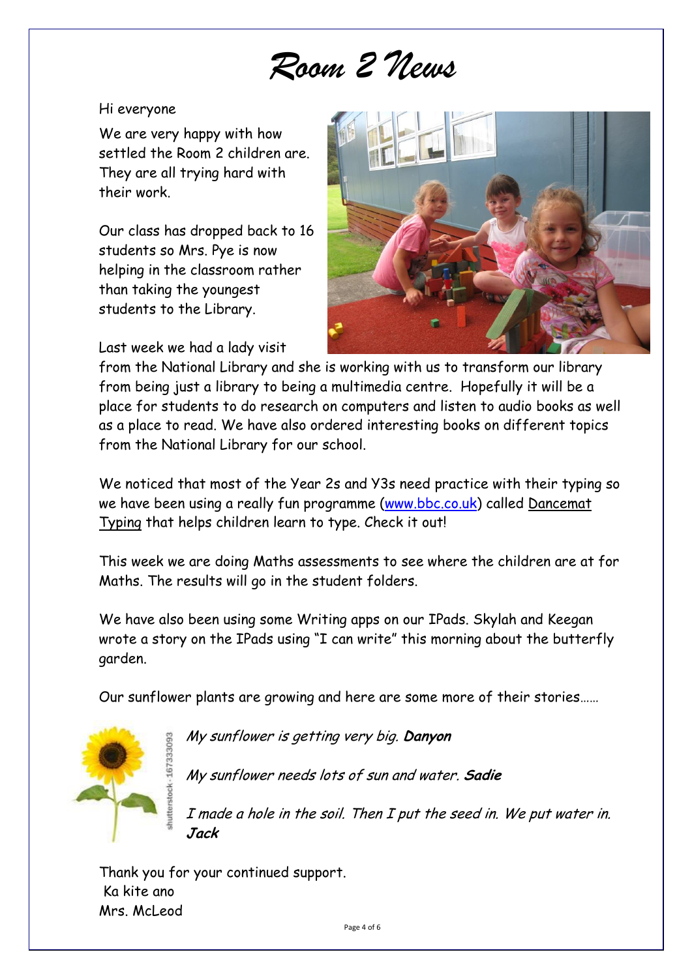# *Room 2 News*

### Hi everyone

We are very happy with how settled the Room 2 children are. They are all trying hard with their work.

Our class has dropped back to 16 students so Mrs. Pye is now helping in the classroom rather than taking the youngest students to the Library.

Last week we had a lady visit



from the National Library and she is working with us to transform our library from being just a library to being a multimedia centre. Hopefully it will be a place for students to do research on computers and listen to audio books as well as a place to read. We have also ordered interesting books on different topics from the National Library for our school.

We noticed that most of the Year 2s and Y3s need practice with their typing so we have been using a really fun programme [\(www.bbc.co.uk\)](http://www.bbc.co.uk/) called Dancemat Typing that helps children learn to type. Check it out!

This week we are doing Maths assessments to see where the children are at for Maths. The results will go in the student folders.

We have also been using some Writing apps on our IPads. Skylah and Keegan wrote a story on the IPads using "I can write" this morning about the butterfly garden.

Our sunflower plants are growing and here are some more of their stories……



My sunflower is getting very big. **Danyon**

My sunflower needs lots of sun and water. **Sadie**

I made a hole in the soil. Then I put the seed in. We put water in. **Jack**

Thank you for your continued support. Ka kite ano Mrs. McLeod

Page 4 of 6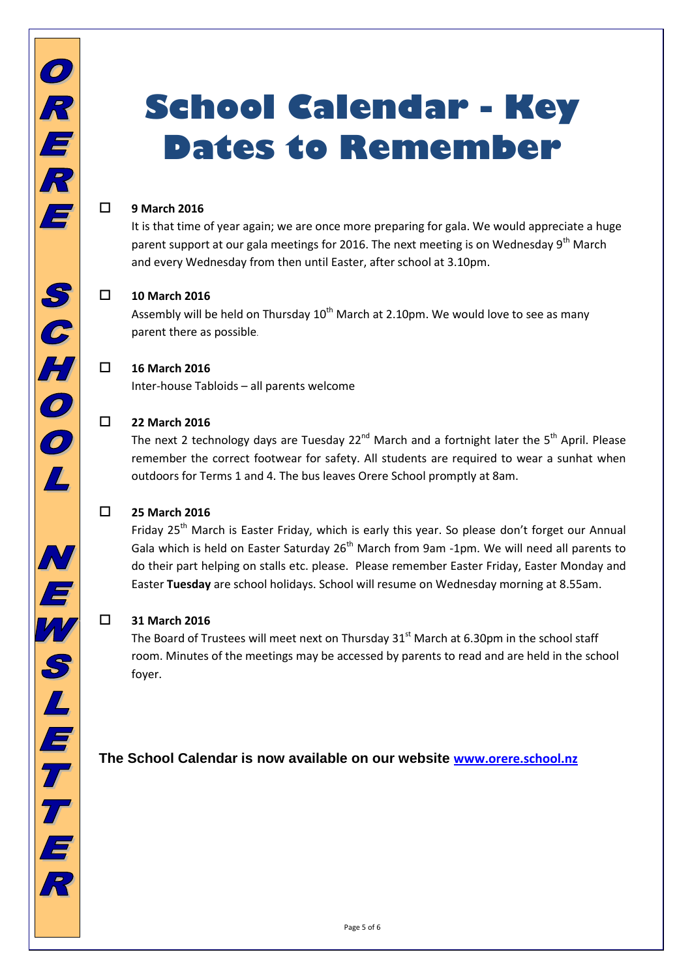# **School Calendar - Key Dates to Remember**

### **9 March 2016**

It is that time of year again; we are once more preparing for gala. We would appreciate a huge parent support at our gala meetings for 2016. The next meeting is on Wednesday 9<sup>th</sup> March and every Wednesday from then until Easter, after school at 3.10pm.

### **10 March 2016**

Assembly will be held on Thursday  $10^{th}$  March at 2.10pm. We would love to see as many parent there as possible.

### **16 March 2016**

Inter-house Tabloids – all parents welcome

### **22 March 2016**

The next 2 technology days are Tuesday 22<sup>nd</sup> March and a fortnight later the 5<sup>th</sup> April. Please remember the correct footwear for safety. All students are required to wear a sunhat when outdoors for Terms 1 and 4. The bus leaves Orere School promptly at 8am.

### **25 March 2016**

Friday 25<sup>th</sup> March is Easter Friday, which is early this year. So please don't forget our Annual Gala which is held on Easter Saturday  $26<sup>th</sup>$  March from 9am -1pm. We will need all parents to do their part helping on stalls etc. please. Please remember Easter Friday, Easter Monday and Easter **Tuesday** are school holidays. School will resume on Wednesday morning at 8.55am.

### **31 March 2016**

The Board of Trustees will meet next on Thursday  $31<sup>st</sup>$  March at 6.30pm in the school staff room. Minutes of the meetings may be accessed by parents to read and are held in the school foyer.

### **The School Calendar is now available on our website <www.orere.school.nz>**